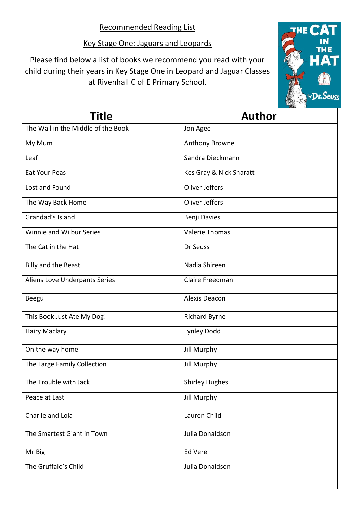## Key Stage One: Jaguars and Leopards

Please find below a list of books we recommend you read with your child during their years in Key Stage One in Leopard and Jaguar Classes at Rivenhall C of E Primary School.



| Title                              | <b>Author</b>           |
|------------------------------------|-------------------------|
| The Wall in the Middle of the Book | Jon Agee                |
| My Mum                             | Anthony Browne          |
| Leaf                               | Sandra Dieckmann        |
| <b>Eat Your Peas</b>               | Kes Gray & Nick Sharatt |
| Lost and Found                     | Oliver Jeffers          |
| The Way Back Home                  | Oliver Jeffers          |
| Grandad's Island                   | Benji Davies            |
| Winnie and Wilbur Series           | <b>Valerie Thomas</b>   |
| The Cat in the Hat                 | Dr Seuss                |
| Billy and the Beast                | Nadia Shireen           |
| Aliens Love Underpants Series      | Claire Freedman         |
| <b>Beegu</b>                       | Alexis Deacon           |
| This Book Just Ate My Dog!         | <b>Richard Byrne</b>    |
| <b>Hairy Maclary</b>               | Lynley Dodd             |
| On the way home                    | <b>Jill Murphy</b>      |
| The Large Family Collection        | <b>Jill Murphy</b>      |
| The Trouble with Jack              | <b>Shirley Hughes</b>   |
| Peace at Last                      | Jill Murphy             |
| Charlie and Lola                   | Lauren Child            |
| The Smartest Giant in Town         | Julia Donaldson         |
| Mr Big                             | Ed Vere                 |
| The Gruffalo's Child               | Julia Donaldson         |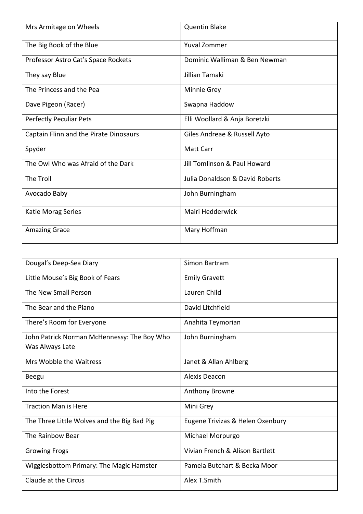| Mrs Armitage on Wheels                 | <b>Quentin Blake</b>            |
|----------------------------------------|---------------------------------|
| The Big Book of the Blue               | <b>Yuval Zommer</b>             |
| Professor Astro Cat's Space Rockets    | Dominic Walliman & Ben Newman   |
| They say Blue                          | Jillian Tamaki                  |
| The Princess and the Pea               | <b>Minnie Grey</b>              |
| Dave Pigeon (Racer)                    | Swapna Haddow                   |
| <b>Perfectly Peculiar Pets</b>         | Elli Woollard & Anja Boretzki   |
| Captain Flinn and the Pirate Dinosaurs | Giles Andreae & Russell Ayto    |
| Spyder                                 | <b>Matt Carr</b>                |
| The Owl Who was Afraid of the Dark     | Jill Tomlinson & Paul Howard    |
| The Troll                              | Julia Donaldson & David Roberts |
| Avocado Baby                           | John Burningham                 |
| Katie Morag Series                     | Mairi Hedderwick                |
| <b>Amazing Grace</b>                   | Mary Hoffman                    |

| Dougal's Deep-Sea Diary                     | Simon Bartram                    |
|---------------------------------------------|----------------------------------|
| Little Mouse's Big Book of Fears            | <b>Emily Gravett</b>             |
| The New Small Person                        | Lauren Child                     |
| The Bear and the Piano                      | David Litchfield                 |
| There's Room for Everyone                   | Anahita Teymorian                |
| John Patrick Norman McHennessy: The Boy Who | John Burningham                  |
| Was Always Late                             |                                  |
| Mrs Wobble the Waitress                     | Janet & Allan Ahlberg            |
| <b>Beegu</b>                                | Alexis Deacon                    |
| Into the Forest                             | <b>Anthony Browne</b>            |
| <b>Traction Man is Here</b>                 | Mini Grey                        |
| The Three Little Wolves and the Big Bad Pig | Eugene Trivizas & Helen Oxenbury |
| The Rainbow Bear                            | Michael Morpurgo                 |
| <b>Growing Frogs</b>                        | Vivian French & Alison Bartlett  |
| Wigglesbottom Primary: The Magic Hamster    | Pamela Butchart & Becka Moor     |
| Claude at the Circus                        | Alex T.Smith                     |